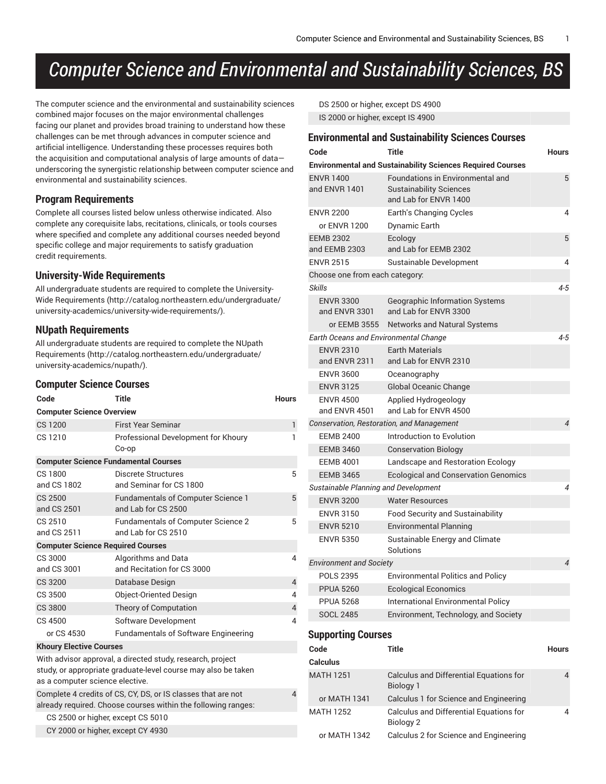# *Computer Science and Environmental and Sustainability Sciences, BS*

The computer science and the environmental and sustainability sciences combined major focuses on the major environmental challenges facing our planet and provides broad training to understand how these challenges can be met through advances in computer science and artificial intelligence. Understanding these processes requires both the acquisition and computational analysis of large amounts of data underscoring the synergistic relationship between computer science and environmental and sustainability sciences.

### **Program Requirements**

Complete all courses listed below unless otherwise indicated. Also complete any corequisite labs, recitations, clinicals, or tools courses where specified and complete any additional courses needed beyond specific college and major requirements to satisfy graduation credit requirements.

#### **University-Wide Requirements**

All undergraduate students are required to complete the [University-](http://catalog.northeastern.edu/undergraduate/university-academics/university-wide-requirements/)Wide [Requirements](http://catalog.northeastern.edu/undergraduate/university-academics/university-wide-requirements/) ([http://catalog.northeastern.edu/undergraduate/](http://catalog.northeastern.edu/undergraduate/university-academics/university-wide-requirements/) [university-academics/university-wide-requirements/\)](http://catalog.northeastern.edu/undergraduate/university-academics/university-wide-requirements/).

### **NUpath Requirements**

All undergraduate students are required to complete the [NUpath](http://catalog.northeastern.edu/undergraduate/university-academics/nupath/) [Requirements](http://catalog.northeastern.edu/undergraduate/university-academics/nupath/) ([http://catalog.northeastern.edu/undergraduate/](http://catalog.northeastern.edu/undergraduate/university-academics/nupath/) [university-academics/nupath/](http://catalog.northeastern.edu/undergraduate/university-academics/nupath/)).

#### **Computer Science Courses**

| Code                                                                                                                          | <b>Title</b>                                                                                                                | <b>Hours</b>   |  |  |  |  |
|-------------------------------------------------------------------------------------------------------------------------------|-----------------------------------------------------------------------------------------------------------------------------|----------------|--|--|--|--|
| <b>Computer Science Overview</b>                                                                                              |                                                                                                                             |                |  |  |  |  |
| CS 1200                                                                                                                       | <b>First Year Seminar</b>                                                                                                   | $\mathbf{1}$   |  |  |  |  |
| CS 1210                                                                                                                       | Professional Development for Khoury<br>Co-op                                                                                | 1              |  |  |  |  |
| <b>Computer Science Fundamental Courses</b>                                                                                   |                                                                                                                             |                |  |  |  |  |
| CS 1800<br>and CS 1802                                                                                                        | Discrete Structures<br>and Seminar for CS 1800                                                                              | 5              |  |  |  |  |
| CS 2500<br>and CS 2501                                                                                                        | <b>Fundamentals of Computer Science 1</b><br>and Lab for CS 2500                                                            | 5              |  |  |  |  |
| CS 2510<br>and CS 2511                                                                                                        | <b>Fundamentals of Computer Science 2</b><br>and Lab for CS 2510                                                            | 5              |  |  |  |  |
| <b>Computer Science Required Courses</b>                                                                                      |                                                                                                                             |                |  |  |  |  |
| CS 3000<br>and CS 3001                                                                                                        | Algorithms and Data<br>and Recitation for CS 3000                                                                           | 4              |  |  |  |  |
| <b>CS 3200</b>                                                                                                                | Database Design                                                                                                             | $\overline{4}$ |  |  |  |  |
| CS 3500                                                                                                                       | <b>Object-Oriented Design</b>                                                                                               | 4              |  |  |  |  |
| <b>CS 3800</b>                                                                                                                | Theory of Computation                                                                                                       | $\overline{4}$ |  |  |  |  |
| CS 4500                                                                                                                       | Software Development                                                                                                        | 4              |  |  |  |  |
| or CS 4530                                                                                                                    | <b>Fundamentals of Software Engineering</b>                                                                                 |                |  |  |  |  |
| <b>Khoury Elective Courses</b>                                                                                                |                                                                                                                             |                |  |  |  |  |
| as a computer science elective.                                                                                               | With advisor approval, a directed study, research, project<br>study, or appropriate graduate-level course may also be taken |                |  |  |  |  |
| Complete 4 credits of CS, CY, DS, or IS classes that are not<br>already required. Choose courses within the following ranges: |                                                                                                                             |                |  |  |  |  |
| CS 2500 or higher, except CS 5010                                                                                             |                                                                                                                             |                |  |  |  |  |
| CY 2000 or higher, except CY 4930                                                                                             |                                                                                                                             |                |  |  |  |  |

DS 2500 or higher, except DS 4900 IS 2000 or higher, except IS 4900

|                                                   | <b>Environmental and Sustainability Sciences Courses</b>                                           |              |
|---------------------------------------------------|----------------------------------------------------------------------------------------------------|--------------|
| Code                                              | <b>Title</b>                                                                                       | <b>Hours</b> |
|                                                   | <b>Environmental and Sustainability Sciences Required Courses</b>                                  |              |
| <b>ENVR 1400</b><br>and ENVR 1401                 | <b>Foundations in Environmental and</b><br><b>Sustainability Sciences</b><br>and Lab for ENVR 1400 | 5            |
| <b>ENVR 2200</b>                                  | Earth's Changing Cycles                                                                            | 4            |
| or ENVR 1200                                      | Dynamic Earth                                                                                      |              |
| <b>EEMB 2302</b><br>and EEMB 2303                 | Ecology<br>and Lab for EEMB 2302                                                                   | 5            |
| <b>ENVR 2515</b>                                  | Sustainable Development                                                                            | 4            |
| Choose one from each category:                    |                                                                                                    |              |
| Skills                                            |                                                                                                    | 4-5          |
| <b>ENVR 3300</b><br>and ENVR 3301<br>or EEMB 3555 | Geographic Information Systems<br>and Lab for ENVR 3300<br>Networks and Natural Systems            |              |
| Earth Oceans and Environmental Change             |                                                                                                    | 4-5          |
| <b>ENVR 2310</b>                                  | <b>Earth Materials</b>                                                                             |              |
| and ENVR 2311                                     | and Lab for ENVR 2310                                                                              |              |
| <b>ENVR 3600</b>                                  | Oceanography                                                                                       |              |
| <b>ENVR 3125</b>                                  | Global Oceanic Change                                                                              |              |
| <b>ENVR 4500</b><br>and ENVR 4501                 | Applied Hydrogeology<br>and Lab for ENVR 4500                                                      |              |
|                                                   | Conservation, Restoration, and Management                                                          | 4            |
| <b>EEMB 2400</b>                                  | Introduction to Evolution                                                                          |              |
| <b>EEMB 3460</b>                                  | <b>Conservation Biology</b>                                                                        |              |
| <b>EEMB 4001</b>                                  | Landscape and Restoration Ecology                                                                  |              |
| <b>EEMB 3465</b>                                  | <b>Ecological and Conservation Genomics</b>                                                        |              |
| Sustainable Planning and Development              |                                                                                                    | 4            |
| <b>ENVR 3200</b>                                  | <b>Water Resources</b>                                                                             |              |
| <b>ENVR 3150</b>                                  | <b>Food Security and Sustainability</b>                                                            |              |
| <b>ENVR 5210</b>                                  | <b>Environmental Planning</b>                                                                      |              |
| <b>ENVR 5350</b>                                  | Sustainable Energy and Climate<br>Solutions                                                        |              |
| <b>Environment and Society</b>                    |                                                                                                    | 4            |
| <b>POLS 2395</b>                                  | <b>Environmental Politics and Policy</b>                                                           |              |
| <b>PPUA 5260</b>                                  | <b>Ecological Economics</b>                                                                        |              |
| <b>PPUA 5268</b>                                  | International Environmental Policy                                                                 |              |
| <b>SOCL 2485</b>                                  | Environment, Technology, and Society                                                               |              |
| <b>Supporting Courses</b>                         |                                                                                                    |              |
| Code                                              | Title                                                                                              | Hours        |
| Calculus                                          |                                                                                                    |              |
| <b>MATH 1251</b>                                  | Calculus and Differential Equations for<br><b>Biology 1</b>                                        | 4            |

or MATH 1341 Calculus 1 for Science and Engineering MATH 1252 Calculus and Differential Equations for Biology 2

or MATH 1342 Calculus 2 for Science and Engineering

 $\overline{A}$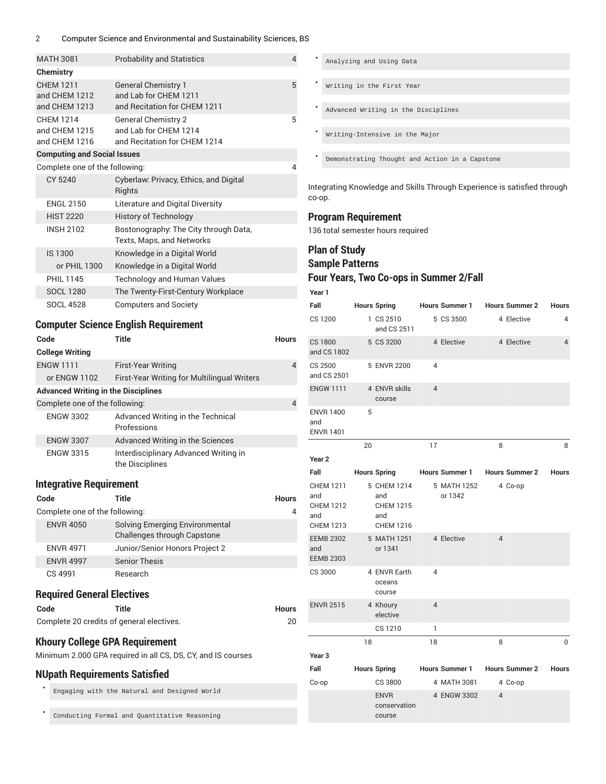#### 2 Computer Science and Environmental and Sustainability Sciences, BS

| <b>MATH 3081</b> |                                    | <b>Probability and Statistics</b>                                                   |              |  |  |
|------------------|------------------------------------|-------------------------------------------------------------------------------------|--------------|--|--|
| Chemistry        |                                    |                                                                                     |              |  |  |
| <b>CHFM 1211</b> | and CHEM 1212<br>and CHEM 1213     | <b>General Chemistry 1</b><br>and Lab for CHEM 1211<br>and Recitation for CHEM 1211 | 5            |  |  |
| <b>CHEM 1214</b> | and CHEM 1215<br>and CHEM 1216     | <b>General Chemistry 2</b><br>and Lab for CHEM 1214<br>and Recitation for CHEM 1214 | 5            |  |  |
|                  | <b>Computing and Social Issues</b> |                                                                                     |              |  |  |
|                  | Complete one of the following:     |                                                                                     | 4            |  |  |
|                  | CY 5240                            | Cyberlaw: Privacy, Ethics, and Digital<br>Rights                                    |              |  |  |
|                  | <b>ENGL 2150</b>                   | Literature and Digital Diversity                                                    |              |  |  |
|                  | <b>HIST 2220</b>                   | <b>History of Technology</b>                                                        |              |  |  |
|                  | <b>INSH 2102</b>                   | Bostonography: The City through Data,<br>Texts, Maps, and Networks                  |              |  |  |
|                  | IS 1300                            | Knowledge in a Digital World                                                        |              |  |  |
|                  | or PHIL 1300                       | Knowledge in a Digital World                                                        |              |  |  |
|                  | PHII 1145                          | <b>Technology and Human Values</b>                                                  |              |  |  |
|                  | <b>SOCL 1280</b>                   | The Twenty-First-Century Workplace                                                  |              |  |  |
|                  | <b>SOCL 4528</b>                   | <b>Computers and Society</b>                                                        |              |  |  |
|                  |                                    | <b>Computer Science English Requirement</b>                                         |              |  |  |
| Code             |                                    | <b>Title</b>                                                                        | <b>Hours</b> |  |  |
|                  | Oallana Wuiting                    |                                                                                     |              |  |  |

| <b>First-Year Writing</b>                                | $\overline{4}$                                                               |
|----------------------------------------------------------|------------------------------------------------------------------------------|
| First-Year Writing for Multilingual Writers              |                                                                              |
|                                                          |                                                                              |
|                                                          | 4                                                                            |
| Advanced Writing in the Technical<br>Professions         |                                                                              |
| Advanced Writing in the Sciences                         |                                                                              |
| Interdisciplinary Advanced Writing in<br>the Disciplines |                                                                              |
|                                                          | <b>Advanced Writing in the Disciplines</b><br>Complete one of the following: |

#### **Integrative Requirement**

| Code                                                                                                  | Title                                                         | <b>Hours</b> |  |  |
|-------------------------------------------------------------------------------------------------------|---------------------------------------------------------------|--------------|--|--|
| Complete one of the following:                                                                        |                                                               |              |  |  |
| <b>ENVR 4050</b>                                                                                      | Solving Emerging Environmental<br>Challenges through Capstone |              |  |  |
| <b>ENVR 4971</b>                                                                                      | Junior/Senior Honors Project 2                                |              |  |  |
| <b>ENVR 4997</b>                                                                                      | <b>Senior Thesis</b>                                          |              |  |  |
| CS 4991                                                                                               | Research                                                      |              |  |  |
| <b>Required General Electives</b>                                                                     |                                                               |              |  |  |
| Code                                                                                                  | Title                                                         | <b>Hours</b> |  |  |
| Complete 20 credits of general electives.                                                             |                                                               | 20           |  |  |
| <b>Khoury College GPA Requirement</b><br>Minimum 2.000 GPA required in all CS, DS, CY, and IS courses |                                                               |              |  |  |
| <b>NUpath Requirements Satisfied</b>                                                                  |                                                               |              |  |  |

• Engaging with the Natural and Designed World

Conducting Formal and Quantitative Reasoning

• Analyzing and Using Data Writing in the First Year • Advanced Writing in the Disciplines • Writing-Intensive in the Major Demonstrating Thought and Action in a Capstone

Integrating Knowledge and Skills Through Experience is satisfied through co-op.

### **Program Requirement**

136 total semester hours required

## **Plan of Study Sample Patterns**

## **Four Years, Two Co-ops in Summer 2/Fall**

**Year 1**

| Fall                                                                   |    | <b>Hours Spring</b>                                               |                | <b>Hours Summer 1</b>  |                | <b>Hours Summer 2</b> | <b>Hours</b>   |
|------------------------------------------------------------------------|----|-------------------------------------------------------------------|----------------|------------------------|----------------|-----------------------|----------------|
| CS 1200                                                                |    | 1 CS 2510<br>and CS 2511                                          |                | 5 CS 3500              |                | 4 Elective            | 4              |
| <b>CS 1800</b><br>and CS 1802                                          |    | 5 CS 3200                                                         |                | 4 Elective             |                | 4 Elective            | $\overline{4}$ |
| CS 2500<br>and CS 2501                                                 |    | 5 ENVR 2200                                                       | 4              |                        |                |                       |                |
| <b>ENGW 1111</b>                                                       |    | 4 ENVR skills<br>course                                           | $\overline{4}$ |                        |                |                       |                |
| <b>ENVR 1400</b><br>and<br><b>ENVR 1401</b>                            | 5  |                                                                   |                |                        |                |                       |                |
|                                                                        | 20 |                                                                   | 17             |                        | 8              |                       | 8              |
| Year 2                                                                 |    |                                                                   |                |                        |                |                       |                |
| Fall                                                                   |    | <b>Hours Spring</b>                                               |                | <b>Hours Summer 1</b>  |                | <b>Hours Summer 2</b> | <b>Hours</b>   |
| <b>CHEM 1211</b><br>and<br><b>CHEM 1212</b><br>and<br><b>CHEM 1213</b> |    | 5 CHEM 1214<br>and<br><b>CHEM 1215</b><br>and<br><b>CHEM 1216</b> |                | 5 MATH 1252<br>or 1342 |                | 4 Co-op               |                |
| <b>EEMB 2302</b><br>and<br><b>EEMB 2303</b>                            |    | 5 MATH 1251<br>or 1341                                            |                | 4 Elective             | $\overline{4}$ |                       |                |
| CS 3000                                                                |    | 4 ENVR Earth<br>oceans<br>course                                  | $\overline{4}$ |                        |                |                       |                |
| <b>ENVR 2515</b>                                                       |    | 4 Khoury<br>elective                                              | $\overline{4}$ |                        |                |                       |                |
|                                                                        |    | CS 1210                                                           | 1              |                        |                |                       |                |
|                                                                        | 18 |                                                                   | 18             |                        | 8              |                       | 0              |
| Year <sub>3</sub>                                                      |    |                                                                   |                |                        |                |                       |                |
| Fall                                                                   |    | <b>Hours Spring</b>                                               |                | <b>Hours Summer 1</b>  |                | <b>Hours Summer 2</b> | <b>Hours</b>   |
| Co-op                                                                  |    | CS 3800                                                           |                | 4 MATH 3081            |                | 4 Co-op               |                |
|                                                                        |    | <b>ENVR</b><br>conservation<br>course                             |                | 4 ENGW 3302            | $\overline{4}$ |                       |                |
|                                                                        |    |                                                                   |                |                        |                |                       |                |